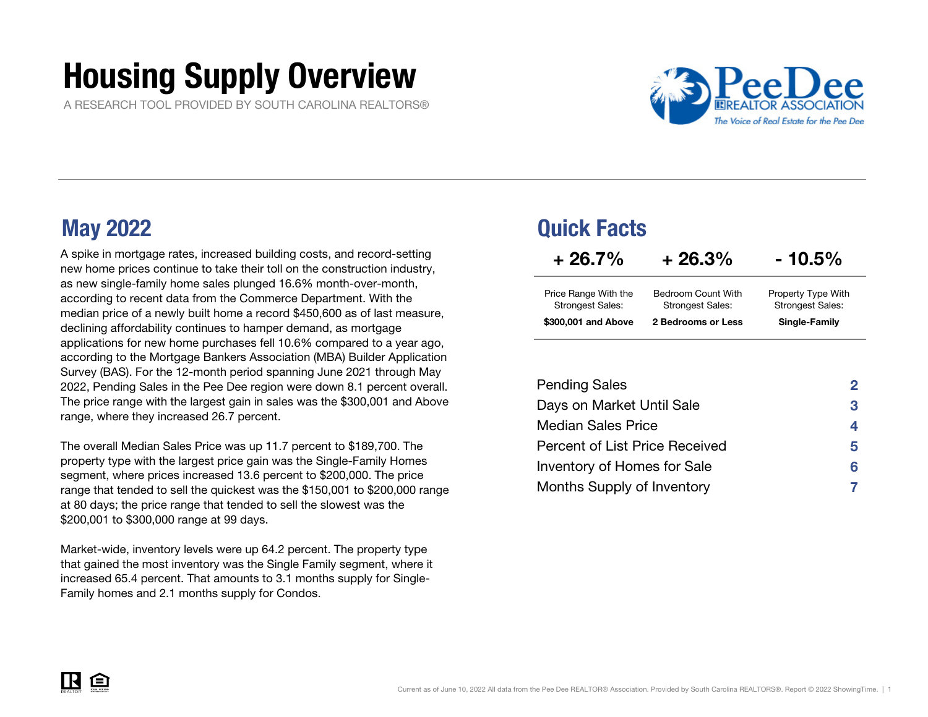# Housing Supply Overview

A RESEARCH TOOL PROVIDED BY SOUTH CAROLINA REALTORS®



A spike in mortgage rates, increased building costs, and record-setting new home prices continue to take their toll on the construction industry, as new single-family home sales plunged 16.6% month-over-month, according to recent data from the Commerce Department. With the median price of a newly built home a record \$450,600 as of last measure, declining affordability continues to hamper demand, as mortgage applications for new home purchases fell 10.6% compared to a year ago, according to the Mortgage Bankers Association (MBA) Builder Application Survey (BAS). For the 12-month period spanning June 2021 through May 2022, Pending Sales in the Pee Dee region were down 8.1 percent overall. The price range with the largest gain in sales was the \$300,001 and Above range, where they increased 26.7 percent.

The overall Median Sales Price was up 11.7 percent to \$189,700. The property type with the largest price gain was the Single-Family Homes segment, where prices increased 13.6 percent to \$200,000. The price range that tended to sell the quickest was the \$150,001 to \$200,000 range at 80 days; the price range that tended to sell the slowest was the \$200,001 to \$300,000 range at 99 days.

Market-wide, inventory levels were up 64.2 percent. The property type that gained the most inventory was the Single Family segment, where it increased 65.4 percent. That amounts to 3.1 months supply for Single-Family homes and 2.1 months supply for Condos.

### May 2022 Quick Facts

| $+26.7%$                                        | $+26.3%$                                      | $-10.5%$                                      |
|-------------------------------------------------|-----------------------------------------------|-----------------------------------------------|
| Price Range With the<br><b>Strongest Sales:</b> | Bedroom Count With<br><b>Strongest Sales:</b> | Property Type With<br><b>Strongest Sales:</b> |
| \$300,001 and Above                             | 2 Bedrooms or Less                            | Single-Family                                 |

| <b>Pending Sales</b>           | 2  |
|--------------------------------|----|
| Days on Market Until Sale      | 3  |
| <b>Median Sales Price</b>      | 4  |
| Percent of List Price Received | 5. |
| Inventory of Homes for Sale    | 6  |
| Months Supply of Inventory     |    |

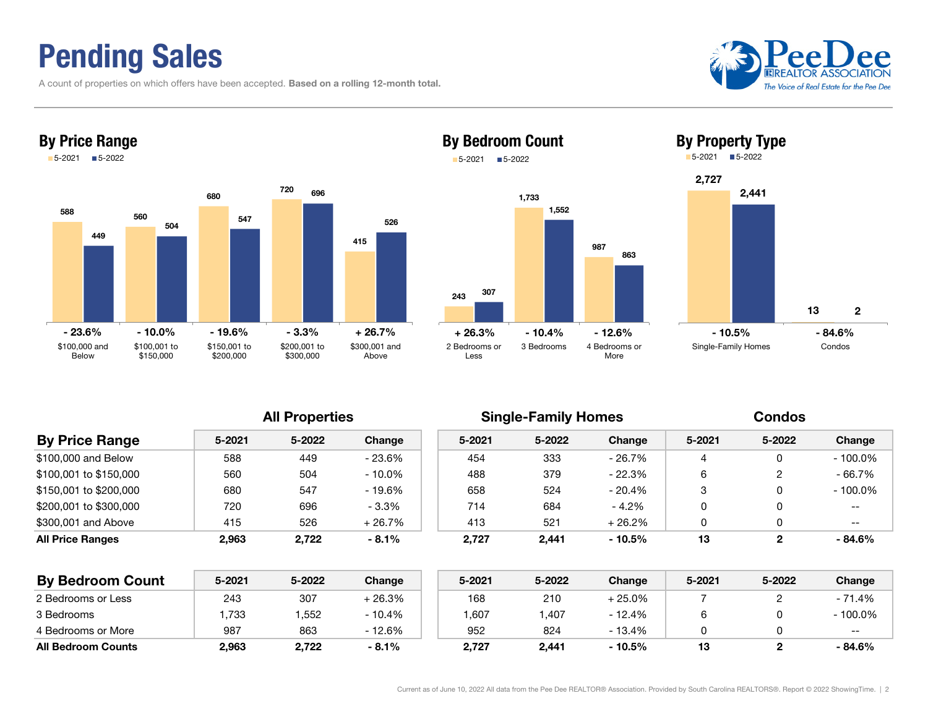## Pending Sales

A count of properties on which offers have been accepted. Based on a rolling 12-month total.





### 2431,733 987 307 1,552 By Bedroom Count 5-2021 5-2022



863



| <b>By Price Range</b>  | $5 - 2021$ | 5-2022 | Change   | $5 - 2021$ | 5-2022 | Change   | 5-2021 | 5-2022 | Change     |
|------------------------|------------|--------|----------|------------|--------|----------|--------|--------|------------|
| \$100,000 and Below    | 588        | 449    | - 23.6%  | 454        | 333    | - 26.7%  |        |        | $-100.0\%$ |
| \$100,001 to \$150,000 | 560        | 504    | - 10.0%  | 488        | 379    | - 22.3%  | 6      |        | - 66.7%    |
| \$150.001 to \$200.000 | 680        | 547    | - 19.6%  | 658        | 524    | - 20.4%  | 3      |        | $-100.0\%$ |
| \$200,001 to \$300,000 | 720        | 696    | $-3.3%$  | 714        | 684    | - 4.2%   |        |        | $- -$      |
| \$300,001 and Above    | 415        | 526    | $+26.7%$ | 413        | 521    | $+26.2%$ |        |        | --         |
| All Price Ranges       | 2,963      | 2,722  | $-8.1\%$ | 2,727      | 2,441  | $-10.5%$ | 13     |        | $-84.6%$   |
|                        |            |        |          |            |        |          |        |        |            |

| <b>By Bedroom Count</b>   | 5-2021 | 5-2022 | Change   | 5-2021 | 5-2022 | Change   | 5-2021 | 5-2022 | Change     |
|---------------------------|--------|--------|----------|--------|--------|----------|--------|--------|------------|
| 2 Bedrooms or Less        | 243    | 307    | + 26.3%  | 168    | 210    | - 25.0%  |        |        | - 71.4%    |
| 3 Bedrooms                | .733   | .552   | $-10.4%$ | 607,   | .407   | - 12.4%  |        |        | $-100.0\%$ |
| 4 Bedrooms or More        | 987    | 863    | - 12.6%  | 952    | 824    | $-13.4%$ |        |        | $- -$      |
| <b>All Bedroom Counts</b> | 2,963  | 2,722  | $-8.1%$  | 2,727  | 2,441  | $-10.5%$ | 13     |        | - 84.6%    |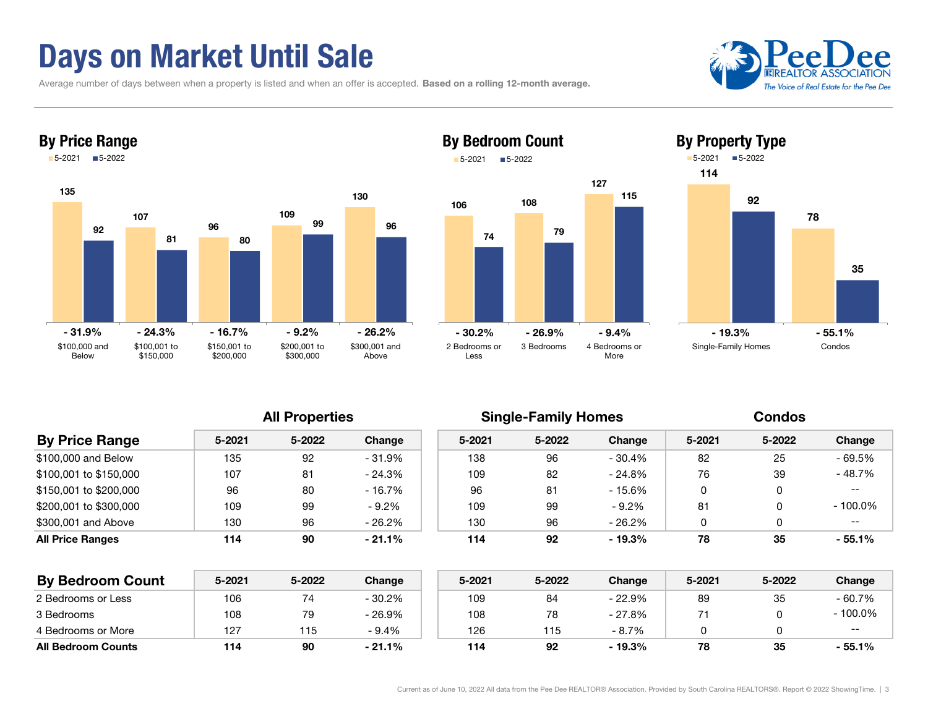## Days on Market Until Sale

Average number of days between when a property is listed and when an offer is accepted. Based on a rolling 12-month average.





### 127By Bedroom Count 5-2021■5-2022





| <b>By Price Range</b>   | 5-2021 | 5-2022 | Change    | $5 - 2021$ | 5-2022         | Change   | 5-2021 | 5-2022 | Change     |
|-------------------------|--------|--------|-----------|------------|----------------|----------|--------|--------|------------|
| \$100,000 and Below     | 135    | 92     | - 31.9%   | 138        | 96             | - 30.4%  | 82     | 25     | $-69.5%$   |
| \$100,001 to \$150,000  | 107    | 81     | $-24.3%$  | 109        | 82             | $-24.8%$ | 76     | 39     | - 48.7%    |
| \$150.001 to \$200.000  | 96     | 80     | $-16.7\%$ | 96         | 8 <sup>1</sup> | - 15.6%  | 0      |        | $- -$      |
| \$200.001 to \$300.000  | 109    | 99     | $-9.2%$   | 109        | 99             | $-9.2%$  | 81     |        | $-100.0\%$ |
| \$300,001 and Above     | 130    | 96     | - 26.2%   | 130        | 96             | - 26.2%  | 0      |        | $- -$      |
| <b>All Price Ranges</b> | 114    | 90     | $-21.1\%$ | 114        | 92             | $-19.3%$ | 78     | 35     | $-55.1%$   |
|                         |        |        |           |            |                |          |        |        |            |

| <b>By Bedroom Count</b>   | 5-2021 | 5-2022 | Change    | 5-2021 | 5-2022 | Change   | 5-2021 | 5-2022 | Change  |
|---------------------------|--------|--------|-----------|--------|--------|----------|--------|--------|---------|
| 2 Bedrooms or Less        | 106    | 74     | $-30.2\%$ | 109    | 84     | $-22.9%$ | 89     | 35     | - 60.7% |
| 3 Bedrooms                | 108    | 79     | - 26.9%   | 108    | 78     | - 27.8%  |        |        | 100.0%  |
| 4 Bedrooms or More        | 127    | 115    | $-9.4%$   | 126    | 115    | - 8.7%   |        |        | $- -$   |
| <b>All Bedroom Counts</b> | 114    | 90     | $-21.1%$  | 114    | 92     | - 19.3%  | 78     | 35     | - 55.1% |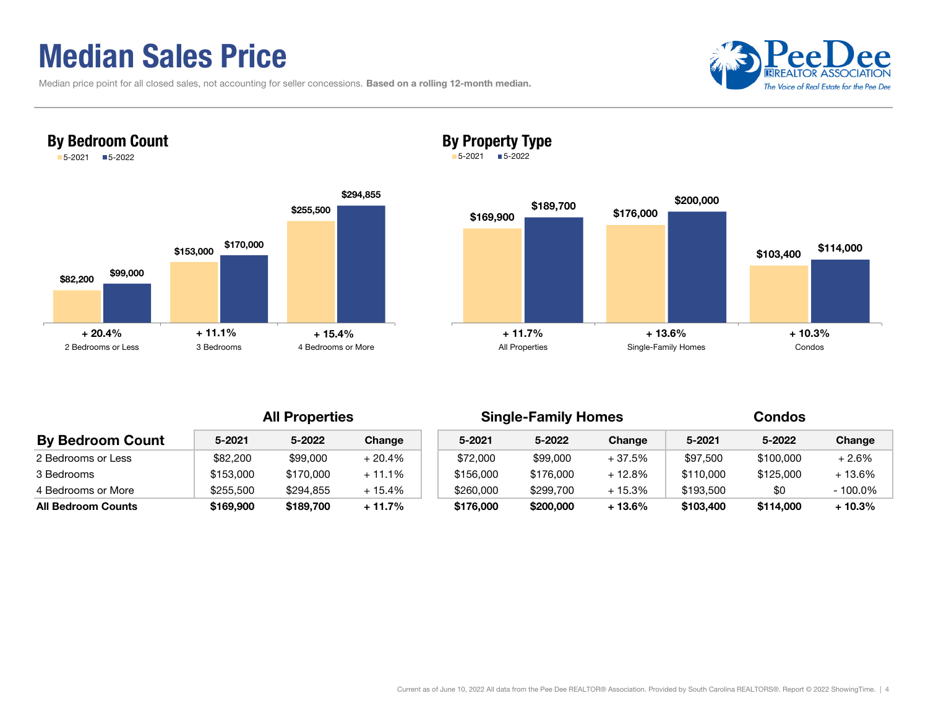## Median Sales Price

By Bedroom Count 5-2021 5-2022

| Median price point for all closed sales, not accounting for seller concessions. Based on a rolling 12-month median. |  |  |
|---------------------------------------------------------------------------------------------------------------------|--|--|
|---------------------------------------------------------------------------------------------------------------------|--|--|





### By Property Type

5-2021 5-2022



| <b>By Bedroom Count</b>   | $5 - 2021$ | 5-2022    | Change   | $5 - 2021$ | 5-2022    | Change   | 5-2021    | 5-2022    | Change   |
|---------------------------|------------|-----------|----------|------------|-----------|----------|-----------|-----------|----------|
| 2 Bedrooms or Less        | \$82,200   | \$99,000  | $+20.4%$ | \$72,000   | \$99,000  | $+37.5%$ | \$97,500  | \$100,000 | + 2.6%   |
| 3 Bedrooms                | \$153,000  | \$170,000 | $+11.1%$ | \$156,000  | \$176,000 | + 12.8%  | \$110,000 | \$125,000 | + 13.6%  |
| 4 Bedrooms or More        | \$255,500  | \$294.855 | + 15.4%  | \$260,000  | \$299.700 | $+15.3%$ | \$193.500 | \$0       | - 100.0% |
| <b>All Bedroom Counts</b> | \$169,900  | \$189,700 | + 11.7%  | \$176,000  | \$200,000 | $+13.6%$ | \$103,400 | \$114,000 | + 10.3%  |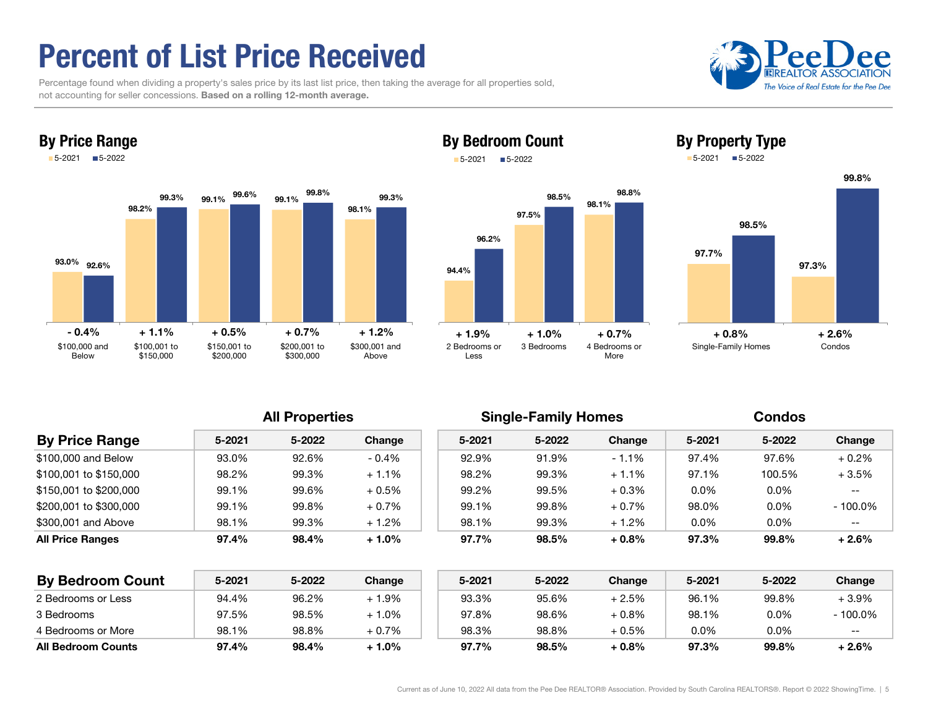## Percent of List Price Received

By Price Range

 Percentage found when dividing a property's sales price by its last list price, then taking the average for all properties sold, not accounting for seller concessions. Based on a rolling 12-month average.





### By Bedroom Count 5-2021■5-2022





By Property Type

All Properties **Single-Family Homes** Condos

Single-Family Homes Condos

| <b>By Price Range</b>   | 5-2021 | 5-2022 | Change  | 5-2021 | 5-2022 | Change   | 5-2021  | 5-2022  | Change     |
|-------------------------|--------|--------|---------|--------|--------|----------|---------|---------|------------|
| \$100,000 and Below     | 93.0%  | 92.6%  | $-0.4%$ | 92.9%  | 91.9%  | $-1.1%$  | 97.4%   | 97.6%   | $+0.2\%$   |
| \$100.001 to \$150.000  | 98.2%  | 99.3%  | $+1.1%$ | 98.2%  | 99.3%  | $+1.1%$  | 97.1%   | 100.5%  | $+3.5%$    |
| \$150,001 to \$200,000  | 99.1%  | 99.6%  | $+0.5%$ | 99.2%  | 99.5%  | $+0.3\%$ | $0.0\%$ | $0.0\%$ | $- -$      |
| \$200.001 to \$300.000  | 99.1%  | 99.8%  | $+0.7%$ | 99.1%  | 99.8%  | $+0.7\%$ | 98.0%   | $0.0\%$ | $-100.0\%$ |
| \$300,001 and Above     | 98.1%  | 99.3%  | $+1.2%$ | 98.1%  | 99.3%  | $+1.2%$  | $0.0\%$ | $0.0\%$ | $--$       |
| <b>All Price Ranges</b> | 97.4%  | 98.4%  | $+1.0%$ | 97.7%  | 98.5%  | $+0.8\%$ | 97.3%   | 99.8%   | $+2.6%$    |
|                         |        |        |         |        |        |          |         |         |            |
|                         |        |        |         |        |        |          |         |         |            |

| <b>By Bedroom Count</b>   | 5-2021 | 5-2022 | Change  | 5-2021 | 5-2022 | Change   | 5-2021  | 5-2022 | Change   |
|---------------------------|--------|--------|---------|--------|--------|----------|---------|--------|----------|
| 2 Bedrooms or Less        | 94.4%  | 96.2%  | $-1.9%$ | 93.3%  | 95.6%  | + 2.5%   | 96.1%   | 99.8%  | + 3.9%   |
| 3 Bedrooms                | 97.5%  | 98.5%  | ⊦ 1.0%  | 97.8%  | 98.6%  | $+0.8\%$ | 98.1%   | 0.0%   | - 100.0% |
| 4 Bedrooms or More        | 98.1%  | 98.8%  | + 0.7%  | 98.3%  | 98.8%  | $+0.5%$  | $0.0\%$ | 0.0%   | --       |
| <b>All Bedroom Counts</b> | 97.4%  | 98.4%  | + 1.0%  | 97.7%  | 98.5%  | $+0.8%$  | 97.3%   | 99.8%  | $-2.6\%$ |

### Current as of June 10, 2022 All data from the Pee Dee REALTOR® Association. Provided by South Carolina REALTORS®. Report © 2022 ShowingTime. | 5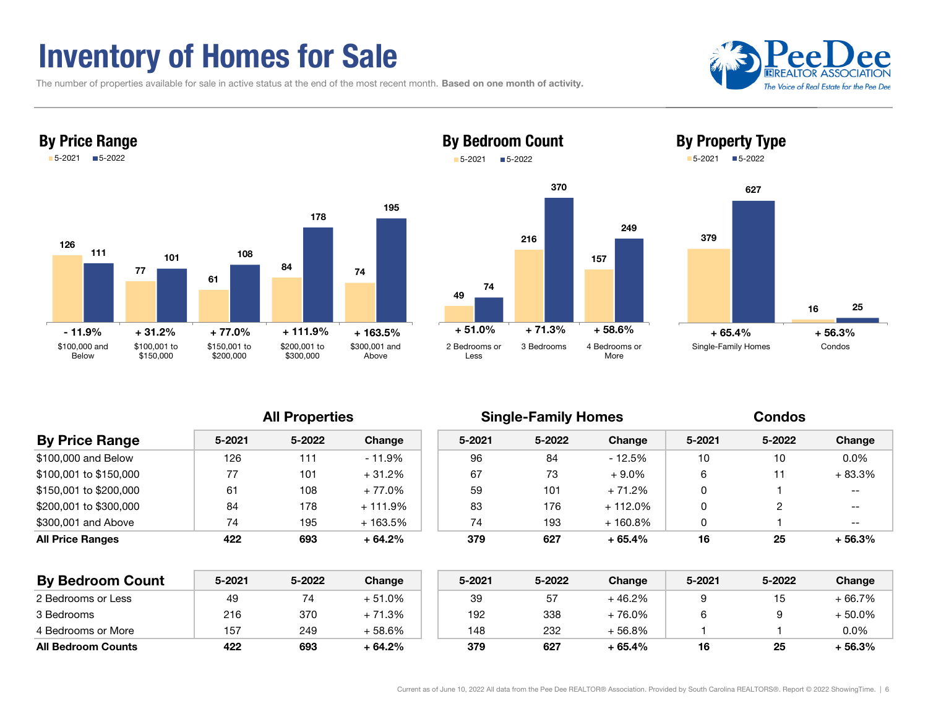## Inventory of Homes for Sale

The number of properties available for sale in active status at the end of the most recent month. Based on one month of activity.







By Bedroom Count



| <b>By Price Range</b>  | 5-2021 | 5-2022 | Change    | $5 - 2021$ | 5-2022 | Change     | $5 - 2021$ | 5-2022         | Change                   |
|------------------------|--------|--------|-----------|------------|--------|------------|------------|----------------|--------------------------|
| \$100,000 and Below    | 126    | 111    | $-11.9\%$ | 96         | 84     | $-12.5%$   | 10         | 10             | $0.0\%$                  |
| \$100,001 to \$150,000 | 77     | 101    | $+31.2%$  | 67         | 73     | $+9.0\%$   | 6          | 11             | $+83.3%$                 |
| \$150,001 to \$200,000 | 61     | 108    | $+77.0%$  | 59         | 101    | $+71.2%$   | 0          |                | $\overline{\phantom{m}}$ |
| \$200,001 to \$300,000 | 84     | 178    | $+111.9%$ | 83         | 176    | $+112.0\%$ | 0          | $\overline{2}$ | $- -$                    |
| \$300,001 and Above    | 74     | 195    | $+163.5%$ | 74         | 193    | $+160.8\%$ | 0          |                | $- -$                    |
| All Price Ranges       | 422    | 693    | $+64.2%$  | 379        | 627    | $+65.4%$   | 16         | 25             | $+56.3%$                 |
|                        |        |        |           |            |        |            |            |                |                          |

| <b>By Bedroom Count</b>   | 5-2021 | 5-2022 | <b>Change</b> | 5-2021 | 5-2022 | Change   | 5-2021 | 5-2022 | Change    |
|---------------------------|--------|--------|---------------|--------|--------|----------|--------|--------|-----------|
| 2 Bedrooms or Less        | 49     |        | + 51.0%       | 39     | 57     | + 46.2%  |        |        | - 66.7%   |
| 3 Bedrooms                | 216    | 370    | + 71.3%       | 192    | 338    | + 76.0%  |        |        | $-50.0\%$ |
| 4 Bedrooms or More        | 157    | 249    | + 58.6%       | 148    | 232    | + 56.8%  |        |        | $0.0\%$   |
| <b>All Bedroom Counts</b> | 422    | 693    | + 64.2%       | 379    | 627    | $+65.4%$ | 16     | 25     | ⊦ 56.3%   |